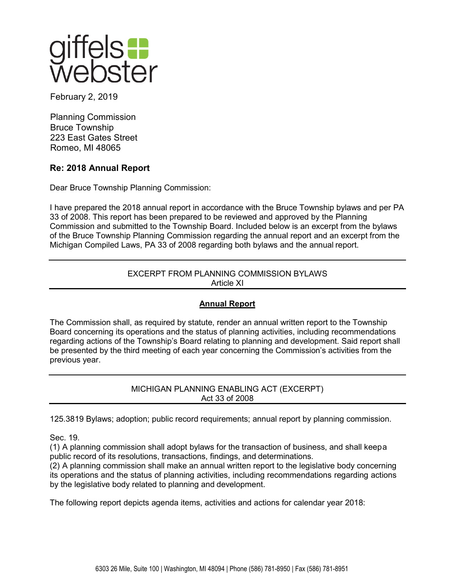

February 2, 2019

Planning Commission Bruce Township 223 East Gates Street Romeo, MI 48065

# **Re: 2018 Annual Report**

Dear Bruce Township Planning Commission:

I have prepared the 2018 annual report in accordance with the Bruce Township bylaws and per PA 33 of 2008. This report has been prepared to be reviewed and approved by the Planning Commission and submitted to the Township Board. Included below is an excerpt from the bylaws of the Bruce Township Planning Commission regarding the annual report and an excerpt from the Michigan Compiled Laws, PA 33 of 2008 regarding both bylaws and the annual report.

# EXCERPT FROM PLANNING COMMISSION BYLAWS Article XI

# **Annual Report**

The Commission shall, as required by statute, render an annual written report to the Township Board concerning its operations and the status of planning activities, including recommendations regarding actions of the Township's Board relating to planning and development. Said report shall be presented by the third meeting of each year concerning the Commission's activities from the previous year.

> MICHIGAN PLANNING ENABLING ACT (EXCERPT) Act 33 of 2008

125.3819 Bylaws; adoption; public record requirements; annual report by planning commission.

Sec. 19.

(1) A planning commission shall adopt bylaws for the transaction of business, and shall keepa public record of its resolutions, transactions, findings, and determinations.

(2) A planning commission shall make an annual written report to the legislative body concerning its operations and the status of planning activities, including recommendations regarding actions by the legislative body related to planning and development.

The following report depicts agenda items, activities and actions for calendar year 2018: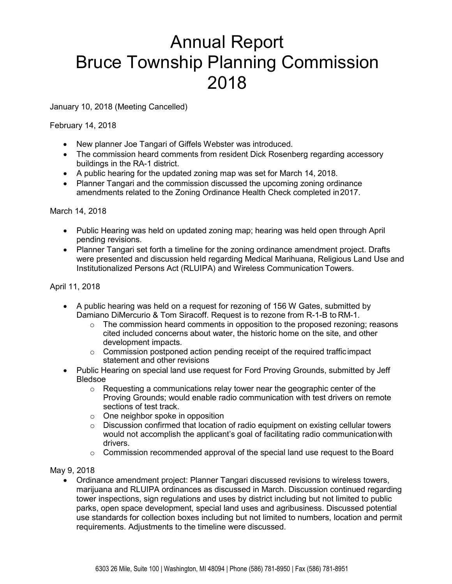# Annual Report Bruce Township Planning Commission 2018

January 10, 2018 (Meeting Cancelled)

February 14, 2018

- New planner Joe Tangari of Giffels Webster was introduced.
- The commission heard comments from resident Dick Rosenberg regarding accessory buildings in the RA-1 district.
- A public hearing for the updated zoning map was set for March 14, 2018.
- Planner Tangari and the commission discussed the upcoming zoning ordinance amendments related to the Zoning Ordinance Health Check completed in2017.

#### March 14, 2018

- Public Hearing was held on updated zoning map; hearing was held open through April pending revisions.
- Planner Tangari set forth a timeline for the zoning ordinance amendment project. Drafts were presented and discussion held regarding Medical Marihuana, Religious Land Use and Institutionalized Persons Act (RLUIPA) and Wireless Communication Towers.

## April 11, 2018

- A public hearing was held on a request for rezoning of 156 W Gates, submitted by Damiano DiMercurio & Tom Siracoff. Request is to rezone from R-1-B to RM-1.
	- $\circ$  The commission heard comments in opposition to the proposed rezoning; reasons cited included concerns about water, the historic home on the site, and other development impacts.
	- $\circ$  Commission postponed action pending receipt of the required trafficimpact statement and other revisions
- Public Hearing on special land use request for Ford Proving Grounds, submitted by Jeff Bledsoe
	- $\circ$  Requesting a communications relay tower near the geographic center of the Proving Grounds; would enable radio communication with test drivers on remote sections of test track.
	- $\circ$  One neighbor spoke in opposition
	- $\circ$  Discussion confirmed that location of radio equipment on existing cellular towers would not accomplish the applicant's goal of facilitating radio communicationwith drivers.
	- $\circ$  Commission recommended approval of the special land use request to the Board

### May 9, 2018

• Ordinance amendment project: Planner Tangari discussed revisions to wireless towers, marijuana and RLUIPA ordinances as discussed in March. Discussion continued regarding tower inspections, sign regulations and uses by district including but not limited to public parks, open space development, special land uses and agribusiness. Discussed potential use standards for collection boxes including but not limited to numbers, location and permit requirements. Adjustments to the timeline were discussed.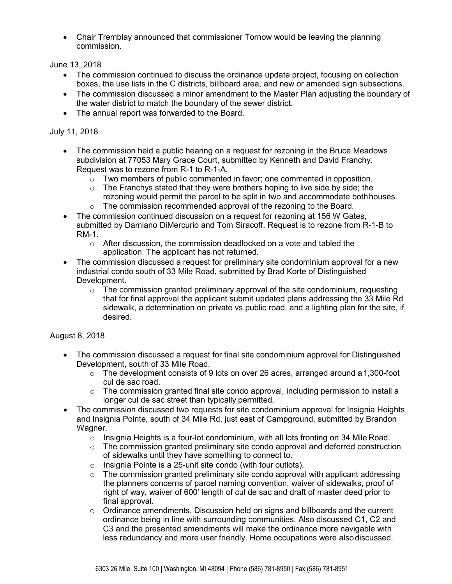• Chair Tremblay announced that commissioner Tornow would be leaving the planning commission.

June 13, 2018

- The commission continued to discuss the ordinance update project, focusing on collection boxes, the use lists in the C districts, billboard area, and new or amended sign subsections.
- The commission discussed a minor amendment to the Master Plan adjusting the boundary of the water district to match the boundary of the sewer district.
- The annual report was forwarded to the Board.

## July 11, 2018

- The commission held a public hearing on a request for rezoning in the Bruce Meadows subdivision at 77053 Mary Grace Court, submitted by Kenneth and David Franchy. Request was to rezone from R-1 to R-1-A.
	- $\circ$  Two members of public commented in favor; one commented in opposition.
	- $\circ$  The Franchys stated that they were brothers hoping to live side by side; the rezoning would permit the parcel to be split in two and accommodate bothhouses.
	- $\circ$  The commission recommended approval of the rezoning to the Board.
- The commission continued discussion on a request for rezoning at 156 W Gates, submitted by Damiano DiMercurio and Tom Siracoff. Request is to rezone from R-1-B to RM-1.
	- o After discussion, the commission deadlocked on a vote and tabled the application. The applicant has not returned.
- The commission discussed a request for preliminary site condominium approval for a new industrial condo south of 33 Mile Road, submitted by Brad Korte of Distinguished Development.
	- $\circ$  The commission granted preliminary approval of the site condominium, requesting that for final approval the applicant submit updated plans addressing the 33 Mile Rd sidewalk, a determination on private vs public road, and a lighting plan for the site, if desired.

## August 8, 2018

- The commission discussed a request for final site condominium approval for Distinguished Development, south of 33 Mile Road.
	- $\circ$  The development consists of 9 lots on over 26 acres, arranged around a 1,300-foot cul de sac road.
	- o The commission granted final site condo approval, including permission to install a longer cul de sac street than typically permitted.
- The commission discussed two requests for site condominium approval for Insignia Heights and Insignia Pointe, south of 34 Mile Rd, just east of Campground, submitted by Brandon Wagner.
	- $\circ$  Insignia Heights is a four-lot condominium, with all lots fronting on 34 Mile Road.
	- $\circ$  The commission granted preliminary site condo approval and deferred construction of sidewalks until they have something to connect to.
	- o Insignia Pointe is a 25-unit site condo (with four outlots).
	- o The commission granted preliminary site condo approval with applicant addressing the planners concerns of parcel naming convention, waiver of sidewalks, proof of right of way, waiver of 600' length of cul de sac and draft of master deed prior to final approval.
	- o Ordinance amendments. Discussion held on signs and billboards and the current ordinance being in line with surrounding communities. Also discussed C1, C2 and C3 and the presented amendments will make the ordinance more navigable with less redundancy and more user friendly. Home occupations were alsodiscussed.